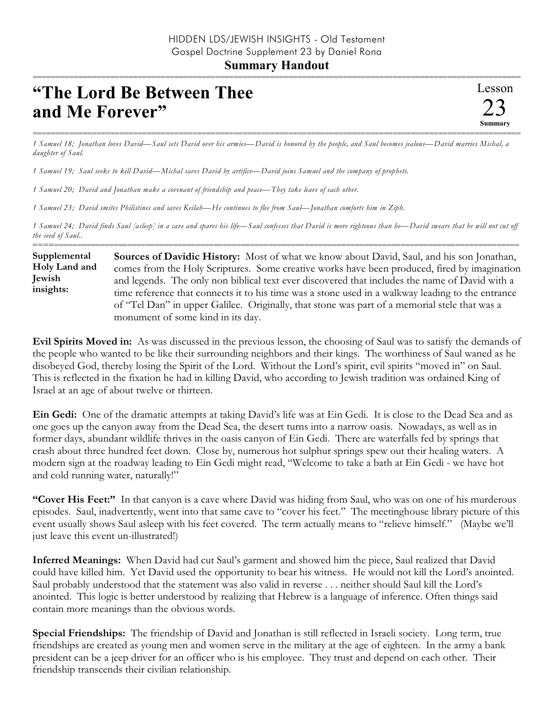## **Summary Handout** ===========================================================================================================

## **"The Lord Be Between Thee and Me Forever"**

=========================================================================================================== *1 Samuel 18; Jonathan loves David—Saul sets David over his armies—David is honored by the people, and Saul becomes jealous—David marries Michal, a daughter of Saul.*

*1 Samuel 19; Saul seeks to kill David—Michal saves David by artifice—David joins Samuel and the company of prophets.*

*1 Samuel 20; David and Jonathan make a covenant of friendship and peace—They take leave of each other.*

*1 Samuel 23; David smites Philistines and saves Keilah—He continues to flee from Saul—Jonathan comforts him in Ziph.*

*1 Samuel 24; David finds Saul [asleep] in a cave and spares his life—Saul confesses that David is more righteous than he—David swears that he will not cut off the seed of Saul..*

========================================================================================================== **Sources of Davidic History:** Most of what we know about David, Saul, and his son Jonathan, comes from the Holy Scriptures. Some creative works have been produced, fired by imagination and legends. The only non biblical text ever discovered that includes the name of David with a time reference that connects it to his time was a stone used in a walkway leading to the entrance of "Tel Dan" in upper Galilee. Originally, that stone was part of a memorial stele that was a monument of some kind in its day. **Supplemental Holy Land and Jewish insights:**

**Evil Spirits Moved in:** As was discussed in the previous lesson, the choosing of Saul was to satisfy the demands of the people who wanted to be like their surrounding neighbors and their kings. The worthiness of Saul waned as he disobeyed God, thereby losing the Spirit of the Lord. Without the Lord's spirit, evil spirits "moved in" on Saul. This is reflected in the fixation he had in killing David, who according to Jewish tradition was ordained King of Israel at an age of about twelve or thirteen.

**Ein Gedi:** One of the dramatic attempts at taking David's life was at Ein Gedi. It is close to the Dead Sea and as one goes up the canyon away from the Dead Sea, the desert turns into a narrow oasis. Nowadays, as well as in former days, abundant wildlife thrives in the oasis canyon of Ein Gedi. There are waterfalls fed by springs that crash about three hundred feet down. Close by, numerous hot sulphur springs spew out their healing waters. A modern sign at the roadway leading to Ein Gedi might read, "Welcome to take a bath at Ein Gedi - we have hot and cold running water, naturally!"

**"Cover His Feet:"** In that canyon is a cave where David was hiding from Saul, who was on one of his murderous episodes. Saul, inadvertently, went into that same cave to "cover his feet." The meetinghouse library picture of this event usually shows Saul asleep with his feet covered. The term actually means to "relieve himself." (Maybe we'll just leave this event un-illustrated!)

**Inferred Meanings:** When David had cut Saul's garment and showed him the piece, Saul realized that David could have killed him. Yet David used the opportunity to bear his witness. He would not kill the Lord's anointed. Saul probably understood that the statement was also valid in reverse . . . neither should Saul kill the Lord's anointed. This logic is better understood by realizing that Hebrew is a language of inference. Often things said contain more meanings than the obvious words.

**Special Friendships:** The friendship of David and Jonathan is still reflected in Israeli society. Long term, true friendships are created as young men and women serve in the military at the age of eighteen. In the army a bank president can be a jeep driver for an officer who is his employee. They trust and depend on each other. Their friendship transcends their civilian relationship.